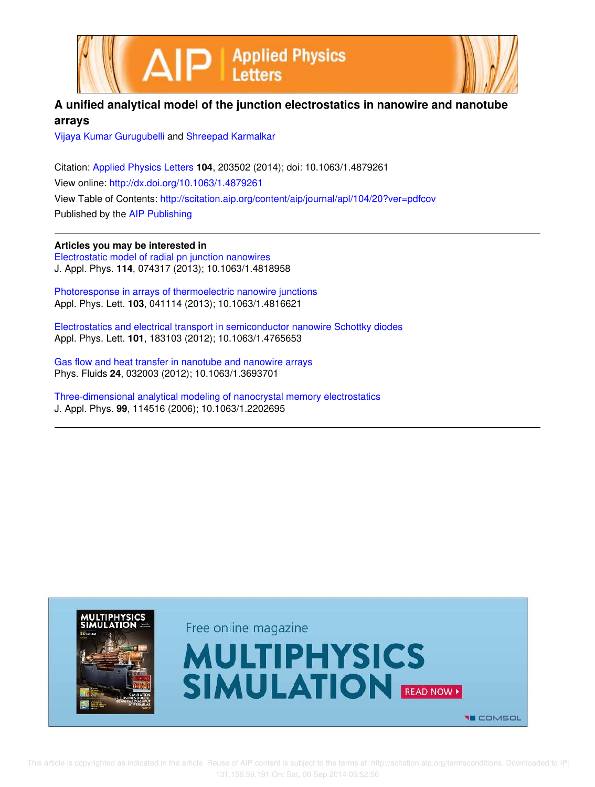



## **A unified analytical model of the junction electrostatics in nanowire and nanotube arrays**

Vijaya Kumar Gurugubelli and Shreepad Karmalkar

Citation: Applied Physics Letters **104**, 203502 (2014); doi: 10.1063/1.4879261 View online: http://dx.doi.org/10.1063/1.4879261 View Table of Contents: http://scitation.aip.org/content/aip/journal/apl/104/20?ver=pdfcov Published by the AIP Publishing

**Articles you may be interested in** Electrostatic model of radial pn junction nanowires J. Appl. Phys. **114**, 074317 (2013); 10.1063/1.4818958

Photoresponse in arrays of thermoelectric nanowire junctions Appl. Phys. Lett. **103**, 041114 (2013); 10.1063/1.4816621

Electrostatics and electrical transport in semiconductor nanowire Schottky diodes Appl. Phys. Lett. **101**, 183103 (2012); 10.1063/1.4765653

Gas flow and heat transfer in nanotube and nanowire arrays Phys. Fluids **24**, 032003 (2012); 10.1063/1.3693701

Three-dimensional analytical modeling of nanocrystal memory electrostatics J. Appl. Phys. **99**, 114516 (2006); 10.1063/1.2202695

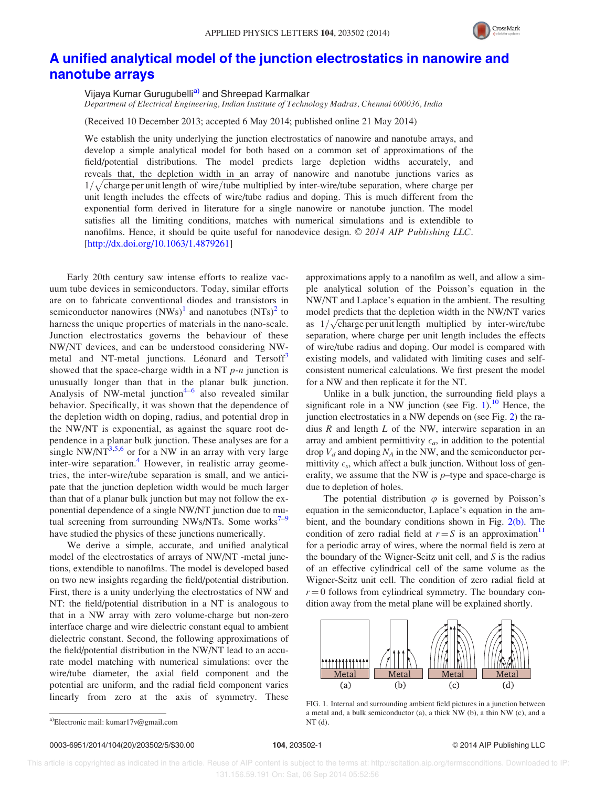

## A unified analytical model of the junction electrostatics in nanowire and nanotube arrays

Vijaya Kumar Gurugubelli<sup>a)</sup> and Shreepad Karmalkar Department of Electrical Engineering, Indian Institute of Technology Madras, Chennai 600036, India

(Received 10 December 2013; accepted 6 May 2014; published online 21 May 2014)

We establish the unity underlying the junction electrostatics of nanowire and nanotube arrays, and develop a simple analytical model for both based on a common set of approximations of the field/potential distributions. The model predicts large depletion widths accurately, and reveals that, the depletion width in an array of nanowire and nanotube junctions varies as  $1/\sqrt{\text{charge}}$  per unit length of wire/tube multiplied by inter-wire/tube separation, where charge per unit length includes the effects of wire/tube radius and doping. This is much different from the exponential form derived in literature for a single nanowire or nanotube junction. The model satisfies all the limiting conditions, matches with numerical simulations and is extendible to nanofilms. Hence, it should be quite useful for nanodevice design. © 2014 AIP Publishing LLC. [http://dx.doi.org/10.1063/1.4879261]

Early 20th century saw intense efforts to realize vacuum tube devices in semiconductors. Today, similar efforts are on to fabricate conventional diodes and transistors in semiconductor nanowires  $(NWs)^1$  and nanotubes  $(NTs)^2$  to harness the unique properties of materials in the nano-scale. Junction electrostatics governs the behaviour of these NW/NT devices, and can be understood considering NWmetal and NT-metal junctions. Léonard and Tersoff<sup>3</sup> showed that the space-charge width in a NT  $p$ -n junction is unusually longer than that in the planar bulk junction. Analysis of NW-metal junction<sup>4-6</sup> also revealed similar behavior. Specifically, it was shown that the dependence of the depletion width on doping, radius, and potential drop in the NW/NT is exponential, as against the square root dependence in a planar bulk junction. These analyses are for a single NW/NT $^{3,5,6}$  or for a NW in an array with very large inter-wire separation.<sup>4</sup> However, in realistic array geometries, the inter-wire/tube separation is small, and we anticipate that the junction depletion width would be much larger than that of a planar bulk junction but may not follow the exponential dependence of a single NW/NT junction due to mutual screening from surrounding NWs/NTs. Some works $\sim$ have studied the physics of these junctions numerically.

We derive a simple, accurate, and unified analytical model of the electrostatics of arrays of NW/NT -metal junctions, extendible to nanofilms. The model is developed based on two new insights regarding the field/potential distribution. First, there is a unity underlying the electrostatics of NW and NT: the field/potential distribution in a NT is analogous to that in a NW array with zero volume-charge but non-zero interface charge and wire dielectric constant equal to ambient dielectric constant. Second, the following approximations of the field/potential distribution in the NW/NT lead to an accurate model matching with numerical simulations: over the wire/tube diameter, the axial field component and the potential are uniform, and the radial field component varies linearly from zero at the axis of symmetry. These

approximations apply to a nanofilm as well, and allow a simple analytical solution of the Poisson's equation in the NW/NT and Laplace's equation in the ambient. The resulting model predicts that the depletion width in the NW/NT varies as  $1/\sqrt{\text{charge}}$  per unit length multiplied by inter-wire/tube separation, where charge per unit length includes the effects of wire/tube radius and doping. Our model is compared with existing models, and validated with limiting cases and selfconsistent numerical calculations. We first present the model for a NW and then replicate it for the NT.

Unlike in a bulk junction, the surrounding field plays a significant role in a NW junction (see Fig. 1).<sup>10</sup> Hence, the junction electrostatics in a NW depends on (see Fig. 2) the radius  $R$  and length  $L$  of the NW, interwire separation in an array and ambient permittivity  $\epsilon_a$ , in addition to the potential drop  $V_d$  and doping  $N_A$  in the NW, and the semiconductor permittivity  $\epsilon_s$ , which affect a bulk junction. Without loss of generality, we assume that the NW is  $p$ -type and space-charge is due to depletion of holes.

The potential distribution  $\varphi$  is governed by Poisson's equation in the semiconductor, Laplace's equation in the ambient, and the boundary conditions shown in Fig.  $2(b)$ . The condition of zero radial field at  $r = S$  is an approximation<sup>11</sup> for a periodic array of wires, where the normal field is zero at the boundary of the Wigner-Seitz unit cell, and  $S$  is the radius of an effective cylindrical cell of the same volume as the Wigner-Seitz unit cell. The condition of zero radial field at  $r = 0$  follows from cylindrical symmetry. The boundary condition away from the metal plane will be explained shortly.



FIG. 1. Internal and surrounding ambient field pictures in a junction between a metal and, a bulk semiconductor (a), a thick NW (b), a thin NW (c), and a

 This article is copyrighted as indicated in the article. Reuse of AIP content is subject to the terms at: http://scitation.aip.org/termsconditions. Downloaded to IP: 131.156.59.191 On: Sat, 06 Sep 2014 05:52:56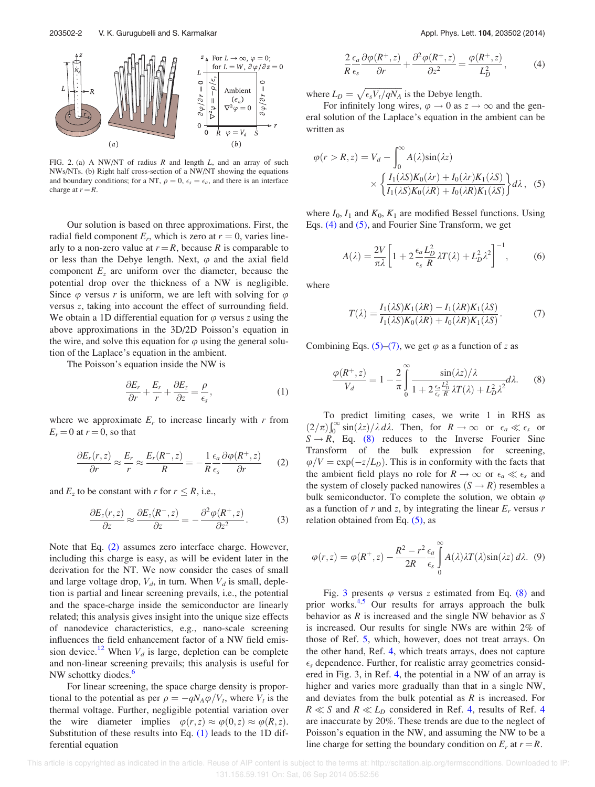

FIG. 2. (a) A NW/NT of radius  $R$  and length  $L$ , and an array of such NWs/NTs. (b) Right half cross-section of a NW/NT showing the equations and boundary conditions; for a NT,  $\rho = 0$ ,  $\epsilon_s = \epsilon_a$ , and there is an interface charge at  $r = R$ .

Our solution is based on three approximations. First, the radial field component  $E_r$ , which is zero at  $r = 0$ , varies linearly to a non-zero value at  $r = R$ , because R is comparable to or less than the Debye length. Next,  $\varphi$  and the axial field component  $E<sub>z</sub>$  are uniform over the diameter, because the potential drop over the thickness of a NW is negligible. Since  $\varphi$  versus r is uniform, we are left with solving for  $\varphi$ versus z, taking into account the effect of surrounding field. We obtain a 1D differential equation for  $\varphi$  versus z using the above approximations in the 3D/2D Poisson's equation in the wire, and solve this equation for  $\varphi$  using the general solution of the Laplace's equation in the ambient.

The Poisson's equation inside the NW is

$$
\frac{\partial E_r}{\partial r} + \frac{E_r}{r} + \frac{\partial E_z}{\partial z} = \frac{\rho}{\epsilon_s},\tag{1}
$$

where we approximate  $E_r$  to increase linearly with r from  $E_r = 0$  at  $r = 0$ , so that

$$
\frac{\partial E_r(r,z)}{\partial r} \approx \frac{E_r}{r} \approx \frac{E_r(R^-,z)}{R} = -\frac{1}{R}\frac{\epsilon_a}{\epsilon_s} \frac{\partial \varphi(R^+,z)}{\partial r} \qquad (2)
$$

and  $E_z$  to be constant with r for  $r \leq R$ , i.e.,

$$
\frac{\partial E_z(r,z)}{\partial z} \approx \frac{\partial E_z(R^-,z)}{\partial z} = -\frac{\partial^2 \varphi(R^+,z)}{\partial z^2}.
$$
 (3)

Note that Eq. (2) assumes zero interface charge. However, including this charge is easy, as will be evident later in the derivation for the NT. We now consider the cases of small and large voltage drop,  $V_d$ , in turn. When  $V_d$  is small, depletion is partial and linear screening prevails, i.e., the potential and the space-charge inside the semiconductor are linearly related; this analysis gives insight into the unique size effects of nanodevice characteristics, e.g., nano-scale screening influences the field enhancement factor of a NW field emission device.<sup>12</sup> When  $V_d$  is large, depletion can be complete and non-linear screening prevails; this analysis is useful for NW schottky diodes.<sup>6</sup>

For linear screening, the space charge density is proportional to the potential as per  $\rho = -qN_A\varphi/V_t$ , where  $V_t$  is the thermal voltage. Further, negligible potential variation over the wire diameter implies  $\varphi(r, z) \approx \varphi(0, z) \approx \varphi(R, z)$ . Substitution of these results into Eq. (1) leads to the 1D differential equation

$$
\frac{2}{R}\frac{\epsilon_a}{\epsilon_s}\frac{\partial\varphi(R^+,z)}{\partial r} + \frac{\partial^2\varphi(R^+,z)}{\partial z^2} = \frac{\varphi(R^+,z)}{L_D^2},\tag{4}
$$

where  $L_D = \sqrt{\epsilon_s V_t / qN_A}$  is the Debye length.

For infinitely long wires,  $\varphi \to 0$  as  $z \to \infty$  and the general solution of the Laplace's equation in the ambient can be written as

$$
\varphi(r > R, z) = V_d - \int_0^\infty A(\lambda) \sin(\lambda z)
$$

$$
\times \left\{ \frac{I_1(\lambda S)K_0(\lambda r) + I_0(\lambda r)K_1(\lambda S)}{I_1(\lambda S)K_0(\lambda R) + I_0(\lambda R)K_1(\lambda S)} \right\} d\lambda, \quad (5)
$$

where  $I_0$ ,  $I_1$  and  $K_0$ ,  $K_1$  are modified Bessel functions. Using Eqs. (4) and (5), and Fourier Sine Transform, we get

$$
A(\lambda) = \frac{2V}{\pi\lambda} \left[ 1 + 2\frac{\epsilon_a L_D^2}{\epsilon_s} \lambda T(\lambda) + L_D^2 \lambda^2 \right]^{-1},\tag{6}
$$

where

$$
T(\lambda) = \frac{I_1(\lambda S)K_1(\lambda R) - I_1(\lambda R)K_1(\lambda S)}{I_1(\lambda S)K_0(\lambda R) + I_0(\lambda R)K_1(\lambda S)}.
$$
 (7)

Combining Eqs. (5)–(7), we get  $\varphi$  as a function of z as

$$
\frac{\varphi(R^+,z)}{V_d} = 1 - \frac{2}{\pi} \int_0^\infty \frac{\sin(\lambda z)/\lambda}{1 + 2\frac{\epsilon_a L_D^2}{\epsilon_s} \lambda T(\lambda) + L_D^2 \lambda^2} d\lambda. \tag{8}
$$

To predict limiting cases, we write 1 in RHS as  $(2/\pi)\int_0^\infty \sin(\lambda z)/\lambda d\lambda$ . Then, for  $R \to \infty$  or  $\epsilon_a \ll \epsilon_s$  or  $S \rightarrow R$ , Eq. (8) reduces to the Inverse Fourier Sine Transform of the bulk expression for screening,  $\varphi/V = \exp(-z/L_D)$ . This is in conformity with the facts that the ambient field plays no role for  $R \to \infty$  or  $\epsilon_a \ll \epsilon_s$  and the system of closely packed nanowires  $(S \rightarrow R)$  resembles a bulk semiconductor. To complete the solution, we obtain  $\varphi$ as a function of r and z, by integrating the linear  $E_r$  versus r relation obtained from Eq.  $(5)$ , as

$$
\varphi(r,z) = \varphi(R^+,z) - \frac{R^2 - r^2}{2R} \frac{\epsilon_a}{\epsilon_s} \int_0^\infty A(\lambda) \lambda T(\lambda) \sin(\lambda z) d\lambda.
$$
 (9)

Fig. 3 presents  $\varphi$  versus z estimated from Eq. (8) and prior works.<sup>4,5</sup> Our results for arrays approach the bulk behavior as  $R$  is increased and the single NW behavior as  $S$ is increased. Our results for single NWs are within 2% of those of Ref. 5, which, however, does not treat arrays. On the other hand, Ref. 4, which treats arrays, does not capture  $\epsilon_s$  dependence. Further, for realistic array geometries considered in Fig. 3, in Ref. 4, the potential in a NW of an array is higher and varies more gradually than that in a single NW, and deviates from the bulk potential as  $R$  is increased. For  $R \ll S$  and  $R \ll L_D$  considered in Ref. 4, results of Ref. 4 are inaccurate by 20%. These trends are due to the neglect of Poisson's equation in the NW, and assuming the NW to be a line charge for setting the boundary condition on  $E_r$  at  $r = R$ .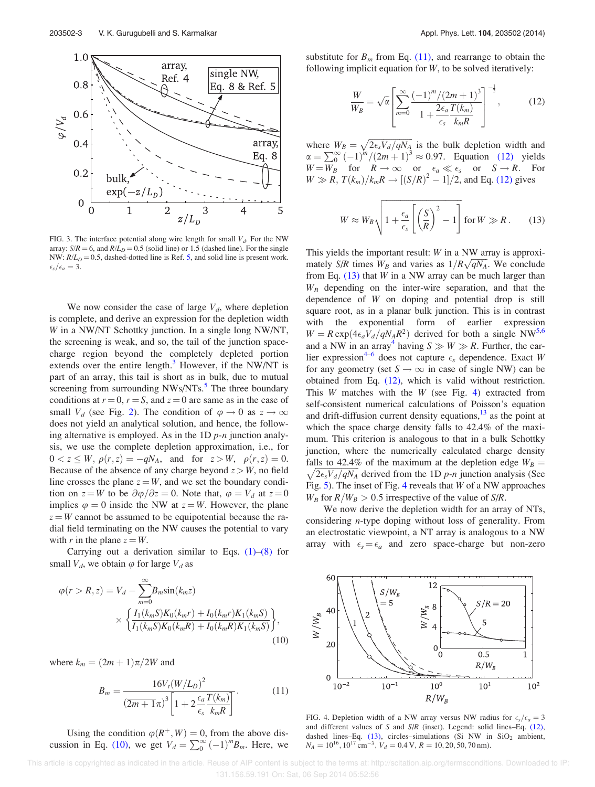

FIG. 3. The interface potential along wire length for small  $V_d$ . For the NW array:  $S/R = 6$ , and  $R/L_D = 0.5$  (solid line) or 1.5 (dashed line). For the single NW:  $R/L_D = 0.5$ , dashed-dotted line is Ref. 5, and solid line is present work.  $\epsilon_s/\epsilon_a=3.$ 

We now consider the case of large  $V_d$ , where depletion is complete, and derive an expression for the depletion width W in a NW/NT Schottky junction. In a single long NW/NT, the screening is weak, and so, the tail of the junction spacecharge region beyond the completely depleted portion extends over the entire length. $3$  However, if the NW/NT is part of an array, this tail is short as in bulk, due to mutual screening from surrounding NWs/NTs.<sup>5</sup> The three boundary conditions at  $r = 0$ ,  $r = S$ , and  $z = 0$  are same as in the case of small  $V_d$  (see Fig. 2). The condition of  $\varphi \to 0$  as  $z \to \infty$ does not yield an analytical solution, and hence, the following alternative is employed. As in the  $1D p$ -n junction analysis, we use the complete depletion approximation, i.e., for  $0 < z \leq W, \, \rho(r, z) = -qN_A$ , and for  $z > W, \, \rho(r, z) = 0$ . Because of the absence of any charge beyond  $z > W$ , no field line crosses the plane  $z = W$ , and we set the boundary condition on  $z = W$  to be  $\partial \varphi / \partial z = 0$ . Note that,  $\varphi = V_d$  at  $z = 0$ . implies  $\varphi = 0$  inside the NW at  $z = W$ . However, the plane  $z = W$  cannot be assumed to be equipotential because the radial field terminating on the NW causes the potential to vary with r in the plane  $z = W$ .

Carrying out a derivation similar to Eqs.  $(1)$ – $(8)$  for small  $V_d$ , we obtain  $\varphi$  for large  $V_d$  as

$$
\varphi(r > R, z) = V_d - \sum_{m=0}^{\infty} B_m \sin(k_m z)
$$

$$
\times \left\{ \frac{I_1(k_m S) K_0(k_m r) + I_0(k_m r) K_1(k_m S)}{I_1(k_m S) K_0(k_m R) + I_0(k_m R) K_1(k_m S)} \right\},
$$
(10)

where  $k_m = (2m + 1)\pi/2W$  and

$$
B_m = \frac{16V_t(W/L_D)^2}{\left(2m+1\pi\right)^3 \left[1+2\frac{\epsilon_a}{\epsilon_s}\frac{T(k_m)}{k_m R}\right]}.
$$
 (11)

Using the condition  $\varphi(R^+, W) = 0$ , from the above discussion in Eq. (10), we get  $V_d = \sum_{0}^{\infty} (-1)^m B_m$ . Here, we substitute for  $B_m$  from Eq. (11), and rearrange to obtain the following implicit equation for  $W$ , to be solved iteratively:

$$
\frac{W}{W_B} = \sqrt{\alpha} \left[ \sum_{m=0}^{\infty} \frac{(-1)^m / (2m+1)^3}{1 + \frac{2\epsilon_a T(k_m)}{\epsilon_s} \pi R} \right]^{-\frac{1}{2}},\tag{12}
$$

where  $W_B = \sqrt{2\epsilon_s V_d/qN_A}$  is the bulk depletion width and  $\alpha = \sum_{0}^{\infty} (-1)^{m} / (2m + 1)^{3} \approx 0.97$ . Equation (12) yields  $W = W_B$  for  $R \to \infty$  or  $\epsilon_a \ll \epsilon_s$  or  $S \to R$ . For  $W \gg R$ ,  $T(k_m)/k_mR \rightarrow [(S/R)^2 - 1]/2$ , and Eq. (12) gives

$$
W \approx W_B \sqrt{1 + \frac{\epsilon_a}{\epsilon_s} \left[ \left( \frac{S}{R} \right)^2 - 1 \right]} \text{ for } W \gg R \,. \tag{13}
$$

This yields the important result: W in a NW array is approximately S/R times  $W_B$  and varies as  $1/R\sqrt{qN_A}$ . We conclude from Eq.  $(13)$  that W in a NW array can be much larger than  $W_B$  depending on the inter-wire separation, and that the dependence of W on doping and potential drop is still square root, as in a planar bulk junction. This is in contrast with the exponential form of earlier expression  $W = R \exp(4\epsilon_a V_d/qN_A R^2)$  derived for both a single NW<sup>5,6</sup> and a NW in an array<sup>4</sup> having  $S \gg W \gg R$ . Further, the earlier expression<sup>4-6</sup> does not capture  $\epsilon_s$  dependence. Exact W for any geometry (set  $S \to \infty$  in case of single NW) can be obtained from Eq. (12), which is valid without restriction. This  $W$  matches with the  $W$  (see Fig. 4) extracted from self-consistent numerical calculations of Poisson's equation and drift-diffusion current density equations, $13$  as the point at which the space charge density falls to 42.4% of the maximum. This criterion is analogous to that in a bulk Schottky junction, where the numerically calculated charge density falls to 42.4% of the maximum at the depletion edge  $W_B =$ falls to 42.4% of the maximum at the depletion edge  $W_B = \sqrt{2\epsilon_s V_d/qN_A}$  derived from the 1D p-n junction analysis (See Fig.  $5$ ). The inset of Fig. 4 reveals that W of a NW approaches  $W_B$  for  $R/W_B > 0.5$  irrespective of the value of  $S/R$ .

We now derive the depletion width for an array of NTs, considering n-type doping without loss of generality. From an electrostatic viewpoint, a NT array is analogous to a NW array with  $\epsilon_s = \epsilon_a$  and zero space-charge but non-zero



FIG. 4. Depletion width of a NW array versus NW radius for  $\epsilon_s/\epsilon_a = 3$ and different values of S and  $S/R$  (inset). Legend: solid lines–Eq. (12), dashed lines–Eq. (13), circles–simulations (Si NW in  $SiO<sub>2</sub>$  ambient,  $N_A = 10^{16}, 10^{17} \text{ cm}^{-3}, V_d = 0.4 \text{ V}, R = 10, 20, 50, 70 \text{ nm}.$ 

 This article is copyrighted as indicated in the article. Reuse of AIP content is subject to the terms at: http://scitation.aip.org/termsconditions. Downloaded to IP: 131.156.59.191 On: Sat, 06 Sep 2014 05:52:56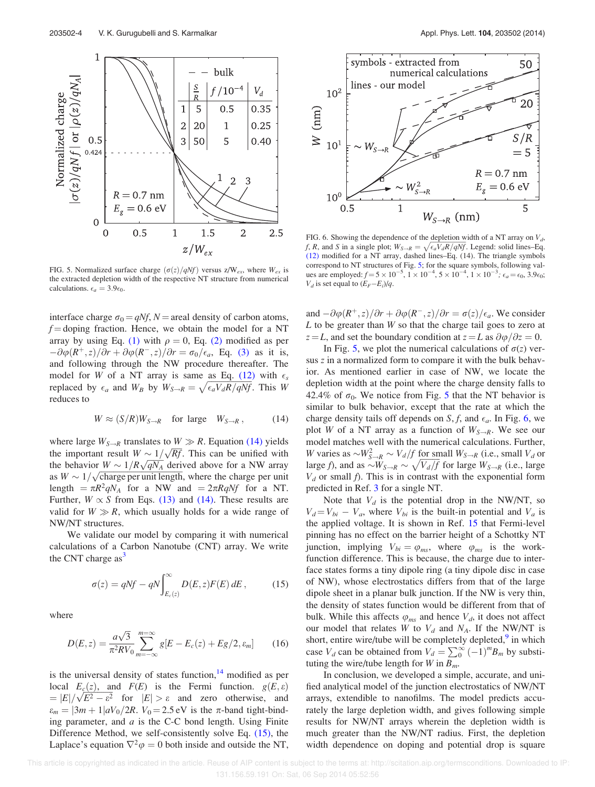

FIG. 5. Normalized surface charge  $(\sigma(z)/qNf)$  versus z/W<sub>ex</sub>, where W<sub>ex</sub> is the extracted depletion width of the respective NT structure from numerical calculations.  $\epsilon_a = 3.9 \epsilon_0$ .

interface charge  $\sigma_0 = qNf$ , N = areal density of carbon atoms,  $f =$  doping fraction. Hence, we obtain the model for a NT array by using Eq. (1) with  $\rho = 0$ , Eq. (2) modified as per  $-\partial \varphi(R^+,z)/\partial r + \partial \varphi(R^-,z)/\partial r = \sigma_0/\epsilon_a$ , Eq. (3) as it is, and following through the NW procedure thereafter. The model for W of a NT array is same as Eq. (12) with  $\epsilon_s$ replaced by  $\epsilon_a$  and  $W_B$  by  $W_{S\rightarrow R}=\sqrt{\epsilon_aV_dR/qNf}$ . This W reduces to

$$
W \approx (S/R)W_{S\to R} \quad \text{for large} \quad W_{S\to R} \,, \tag{14}
$$

where large  $W_{S\rightarrow R}$  translates to  $W \gg R$ . Equation (14) yields the important result  $W \sim 1/\sqrt{Rf}$ . This can be unified with the behavior  $W \sim 1/R\sqrt{qN_A}$  derived above for a NW array as  $W \sim 1/\sqrt{\text{charge}}$  per unit length, where the charge per unit length  $=\pi R^2 q N_A$  for a NW and  $=2\pi R q N f$  for a NT. Further,  $W \propto S$  from Eqs. (13) and (14). These results are valid for  $W \gg R$ , which usually holds for a wide range of NW/NT structures.

We validate our model by comparing it with numerical calculations of a Carbon Nanotube (CNT) array. We write the CNT charge  $as<sup>3</sup>$ 

$$
\sigma(z) = qNf - qN \int_{E_c(z)}^{\infty} D(E, z) F(E) dE, \qquad (15)
$$

where

$$
D(E, z) = \frac{a\sqrt{3}}{\pi^2 RV_0} \sum_{m=-\infty}^{m=\infty} g[E - E_c(z) + Eg/2, \varepsilon_m]
$$
 (16)

is the universal density of states function, $14$  modified as per local  $E_c(z)$ , and  $F(E)$  is the Fermi function.  $g(E, \varepsilon)$  $E(\frac{\epsilon}{2}, \epsilon)$ , and  $T(\epsilon)$  is the refine ranches.  $g(\epsilon, \epsilon)$ <br>=  $|E| / \sqrt{E^2 - \epsilon^2}$  for  $|E| > \epsilon$  and zero otherwise, and  $\varepsilon_m = |3m + 1|aV_0/2R$ .  $V_0 = 2.5$  eV is the  $\pi$ -band tight-binding parameter, and  $a$  is the C-C bond length. Using Finite Difference Method, we self-consistently solve Eq. (15), the Laplace's equation  $\nabla^2 \varphi = 0$  both inside and outside the NT,



FIG. 6. Showing the dependence of the depletion width of a NT array on  $V_d$ , f, R, and S in a single plot;  $W_{S\rightarrow R} = \sqrt{\epsilon_a V_d R / q N_f}$ . Legend: solid lines–Eq. (12) modified for a NT array, dashed lines–Eq. (14). The triangle symbols correspond to NT structures of Fig. 5; for the square symbols, following values are employed:  $f = 5 \times 10^{-5}$ ,  $1 \times 10^{-4}$ ,  $5 \times 10^{-4}$ ,  $1 \times 10^{-3}$ ;  $\epsilon_a = \epsilon_0$ ,  $3.9 \epsilon_0$ ;  $V_d$  is set equal to  $(E_F-E_i)/q$ .

and  $-\partial \varphi(R^+,z)/\partial r + \partial \varphi(R^-,z)/\partial r = \sigma(z)/\epsilon_a$ . We consider  $L$  to be greater than  $W$  so that the charge tail goes to zero at  $z = L$ , and set the boundary condition at  $z = L$  as  $\frac{\partial \varphi}{\partial z} = 0$ .

In Fig. 5, we plot the numerical calculations of  $\sigma(z)$  versus z in a normalized form to compare it with the bulk behavior. As mentioned earlier in case of NW, we locate the depletion width at the point where the charge density falls to 42.4% of  $\sigma_0$ . We notice from Fig. 5 that the NT behavior is similar to bulk behavior, except that the rate at which the charge density tails off depends on S, f, and  $\epsilon_a$ . In Fig. 6, we plot W of a NT array as a function of  $W_{S\rightarrow R}$ . We see our model matches well with the numerical calculations. Further, W varies as  $\sim W_{S\to R}^2 \sim V_d/f$  for small  $W_{S\to R}$  (i.e., small  $V_d$  or large f), and as  $\sim W_{S\rightarrow R} \sim \sqrt{V_d/f}$  for large  $W_{S\rightarrow R}$  (i.e., large  $V_d$  or small f). This is in contrast with the exponential form predicted in Ref. 3 for a single NT.

Note that  $V_d$  is the potential drop in the NW/NT, so  $V_d = V_{bi} - V_a$ , where  $V_{bi}$  is the built-in potential and  $V_a$  is the applied voltage. It is shown in Ref. 15 that Fermi-level pinning has no effect on the barrier height of a Schottky NT junction, implying  $V_{bi} = \varphi_{ms}$ , where  $\varphi_{ms}$  is the workfunction difference. This is because, the charge due to interface states forms a tiny dipole ring (a tiny dipole disc in case of NW), whose electrostatics differs from that of the large dipole sheet in a planar bulk junction. If the NW is very thin, the density of states function would be different from that of bulk. While this affects  $\varphi_{ms}$  and hence  $V_d$ , it does not affect our model that relates W to  $V_d$  and  $N_A$ . If the NW/NT is short, entire wire/tube will be completely depleted,<sup>9</sup> in which case  $V_d$  can be obtained from  $V_d = \sum_{0}^{\infty} (-1)^m B_m$  by substituting the wire/tube length for W in  $B_m$ .

In conclusion, we developed a simple, accurate, and unified analytical model of the junction electrostatics of NW/NT arrays, extendible to nanofilms. The model predicts accurately the large depletion width, and gives following simple results for NW/NT arrays wherein the depletion width is much greater than the NW/NT radius. First, the depletion width dependence on doping and potential drop is square